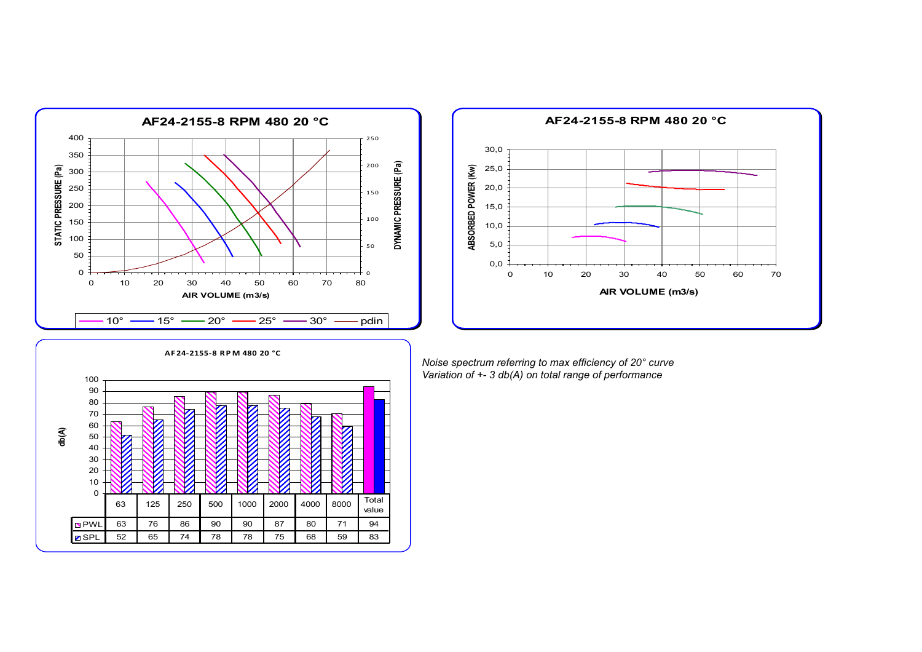



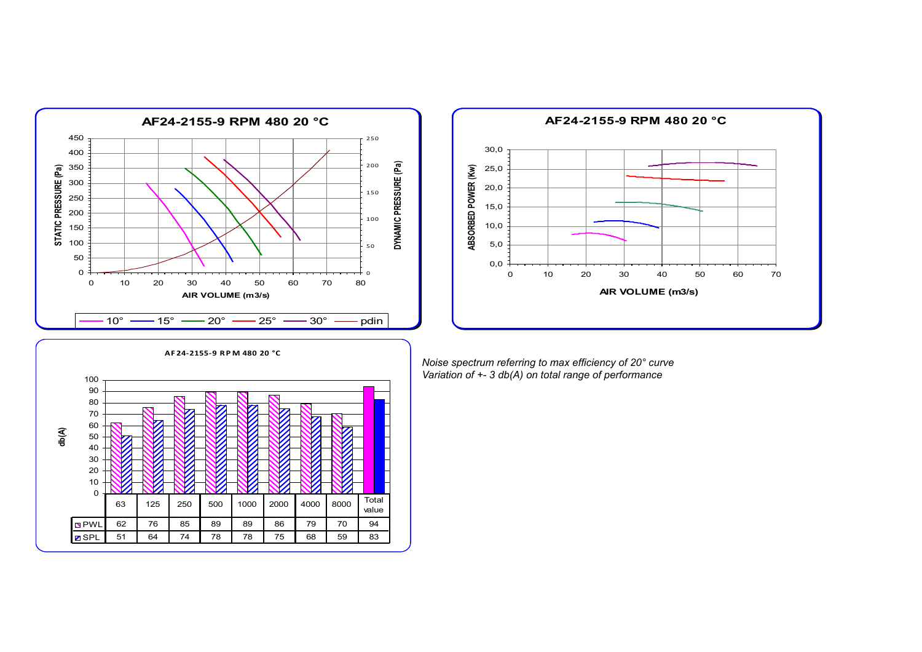



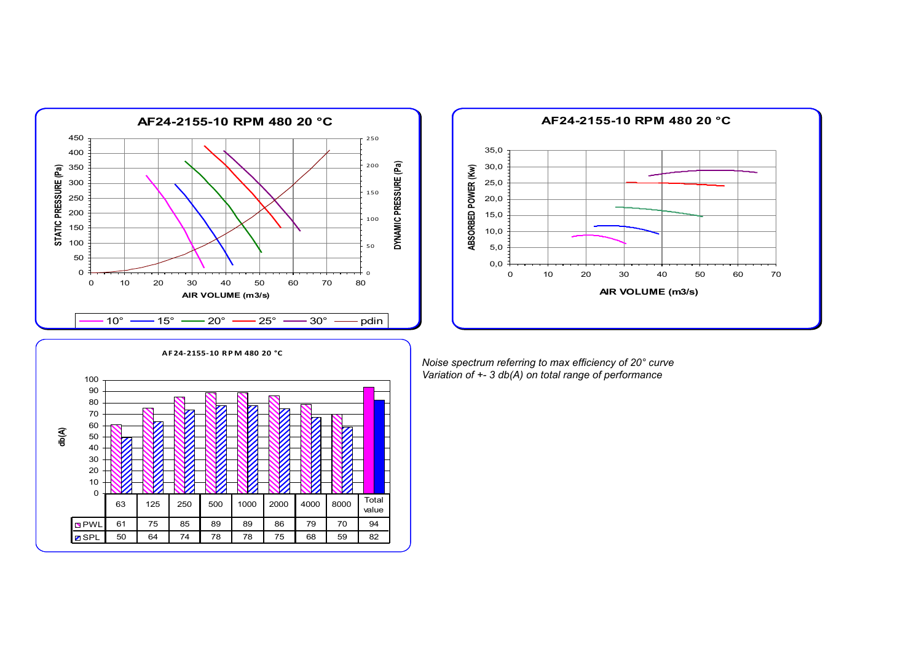



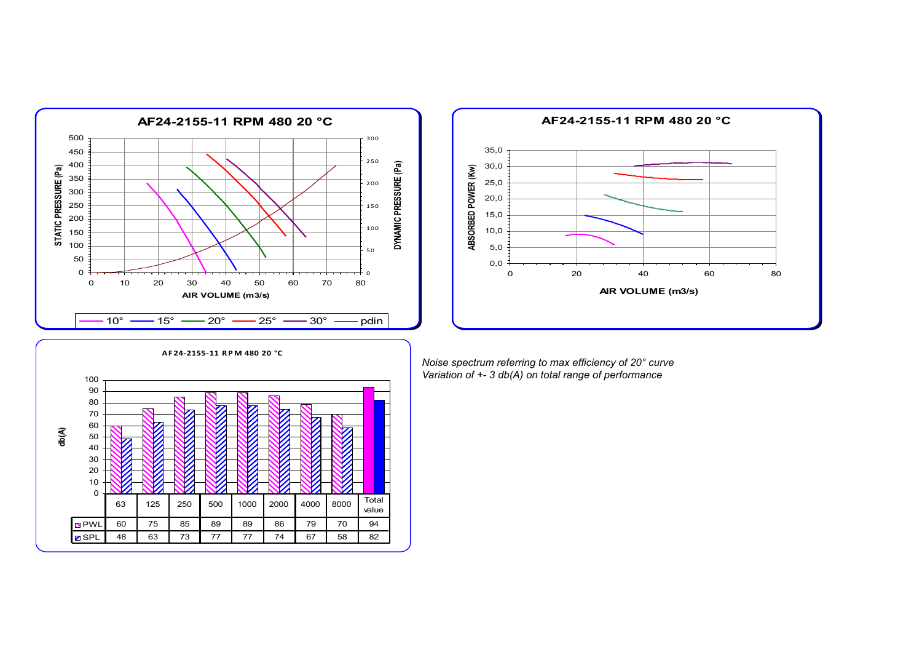



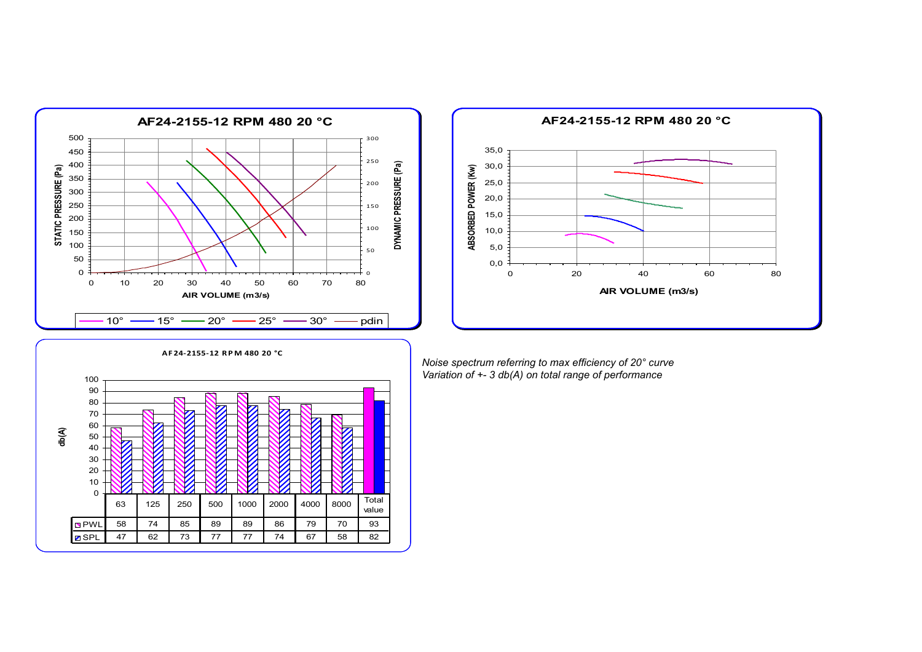



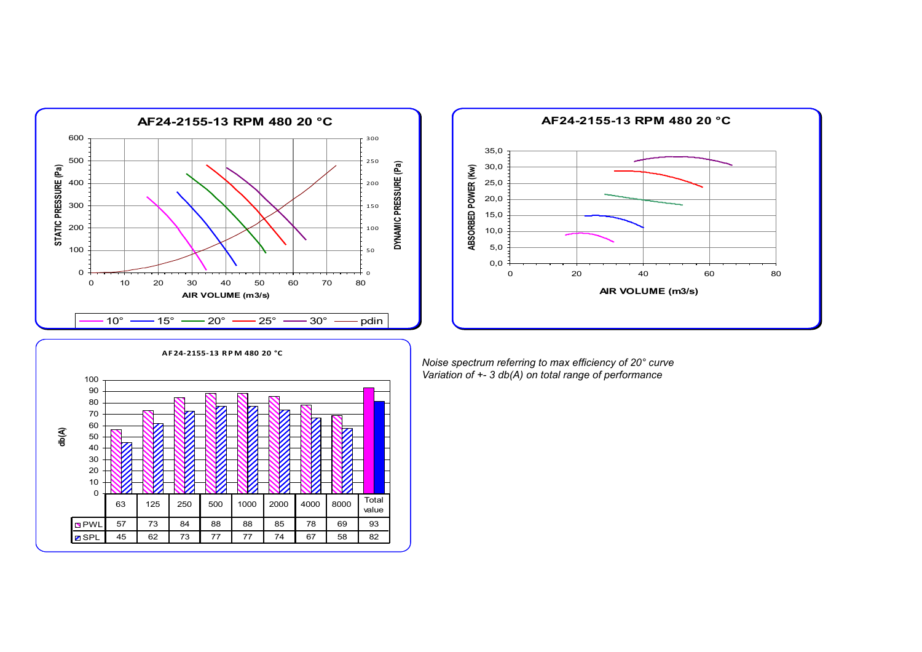